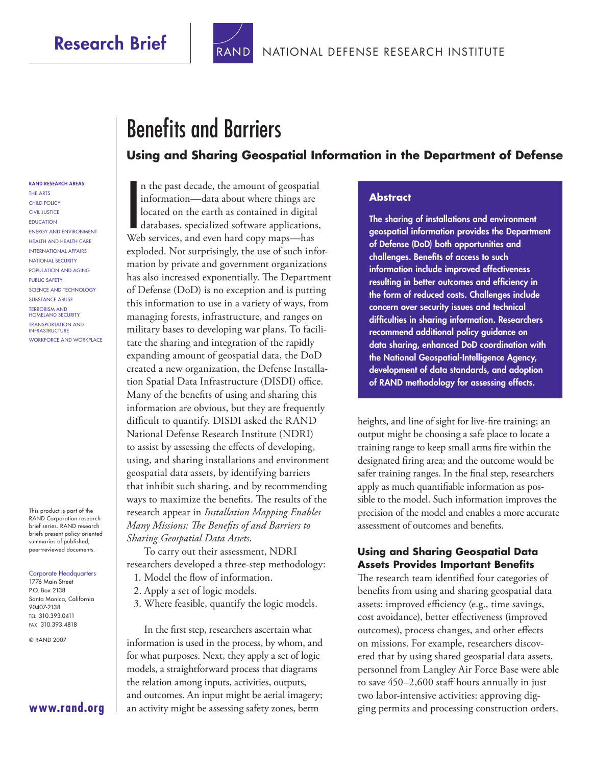## **Research Brief**



# **Benefits and Barriers Using and Sharing Geospatial Information in the Department of Defense**

#### **RAND RESEARCH AREAS**

THE ARTS CHILD POLICY CIVIL JUSTICE **EDUCATION** ENERGY AND ENVIRONMENT HEALTH AND HEALTH CARE INTERNATIONAL AFFAIRS NATIONAL SECURITY POPULATION AND AGING PUBLIC SAFETY SCIENCE AND TECHNOLOGY SUBSTANCE ABUSE TERRORISM AND HOMELAND SECURITY TRANSPORTATION AND INFRASTRUCTURE WORKFORCE AND WORKPLACE

This product is part of the RAND Corporation research brief series. RAND research briefs present policy-oriented summaries of published, peer-reviewed documents.

Corporate Headquarters

1776 Main Street P.O. Box 2138 Santa Monica, California 90407-2138 TEL 310.393.0411 FAX 310.393.4818

© RAND 2007

#### **[www.rand.org](http://www.rand.org)**

In the past decade, the amount of geospatia<br>information—data about where things are<br>located on the earth as contained in digital<br>databases, specialized software applications<br>Web services, and even hard copy maps—has n the past decade, the amount of geospatial information—data about where things are located on the earth as contained in digital databases, specialized software applications, exploded. Not surprisingly, the use of such information by private and government organizations has also increased exponentially. The Department of Defense (DoD) is no exception and is putting this information to use in a variety of ways, from managing forests, infrastructure, and ranges on military bases to developing war plans. To facilitate the sharing and integration of the rapidly expanding amount of geospatial data, the DoD created a new organization, the Defense Installation Spatial Data Infrastructure (DISDI) office. Many of the benefits of using and sharing this information are obvious, but they are frequently difficult to quantify. DISDI asked the RAND National Defense Research Institute (NDRI) to assist by assessing the effects of developing, using, and sharing installations and environment geospatial data assets, by identifying barriers that inhibit such sharing, and by recommending ways to maximize the benefits. The results of the research appear in *Installation Mapping Enables Many Missions: The Benefits of and Barriers to Sharing Geospatial Data Assets*.

To carry out their assessment, NDRI researchers developed a three-step methodology:

- 1. Model the flow of information.
- 2. Apply a set of logic models.
- 3. Where feasible, quantify the logic models.

In the first step, researchers ascertain what information is used in the process, by whom, and for what purposes. Next, they apply a set of logic models, a straightforward process that diagrams the relation among inputs, activities, outputs, and outcomes. An input might be aerial imagery; an activity might be assessing safety zones, berm

#### **Abstract**

**The sharing of installations and environment geospatial information provides the Department of Defense (DoD) both opportunities and**  challenges. Benefits of access to such **information include improved effectiveness**  resulting in better outcomes and efficiency in **the form of reduced costs. Challenges include concern over security issues and technical diffi culties in sharing information. Researchers recommend additional policy guidance on data sharing, enhanced DoD coordination with the National Geospatial-Intelligence Agency, development of data standards, and adoption of RAND methodology for assessing effects.** 

heights, and line of sight for live-fire training; an output might be choosing a safe place to locate a training range to keep small arms fire within the designated firing area; and the outcome would be safer training ranges. In the final step, researchers apply as much quantifiable information as possible to the model. Such information improves the precision of the model and enables a more accurate assessment of outcomes and benefits.

#### **Using and Sharing Geospatial Data Assets Provides Important Benefits**

The research team identified four categories of benefits from using and sharing geospatial data assets: improved efficiency (e.g., time savings, cost avoidance), better effectiveness (improved outcomes), process changes, and other effects on missions. For example, researchers discovered that by using shared geospatial data assets, personnel from Langley Air Force Base were able to save 450–2,600 staff hours annually in just two labor-intensive activities: approving digging permits and processing construction orders.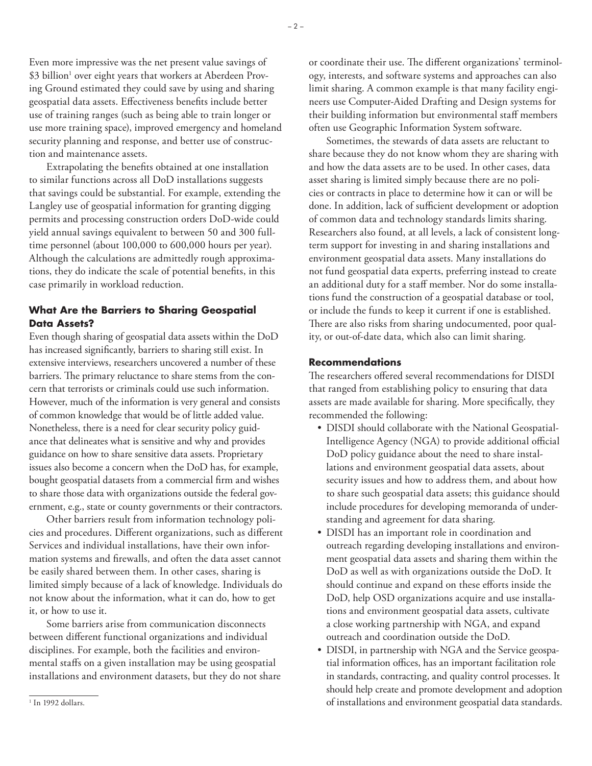Even more impressive was the net present value savings of  $$3$  billion $^1$  over eight years that workers at Aberdeen Proving Ground estimated they could save by using and sharing geospatial data assets. Effectiveness benefits include better use of training ranges (such as being able to train longer or use more training space), improved emergency and homeland security planning and response, and better use of construction and maintenance assets.

Extrapolating the benefits obtained at one installation to similar functions across all DoD installations suggests that savings could be substantial. For example, extending the Langley use of geospatial information for granting digging permits and processing construction orders DoD-wide could yield annual savings equivalent to between 50 and 300 fulltime personnel (about 100,000 to 600,000 hours per year). Although the calculations are admittedly rough approximations, they do indicate the scale of potential benefits, in this case primarily in workload reduction.

### **What Are the Barriers to Sharing Geospatial Data Assets?**

Even though sharing of geospatial data assets within the DoD has increased significantly, barriers to sharing still exist. In extensive interviews, researchers uncovered a number of these barriers. The primary reluctance to share stems from the concern that terrorists or criminals could use such information. However, much of the information is very general and consists of common knowledge that would be of little added value. Nonetheless, there is a need for clear security policy guidance that delineates what is sensitive and why and provides guidance on how to share sensitive data assets. Proprietary issues also become a concern when the DoD has, for example, bought geospatial datasets from a commercial firm and wishes to share those data with organizations outside the federal government, e.g., state or county governments or their contractors.

Other barriers result from information technology policies and procedures. Different organizations, such as different Services and individual installations, have their own information systems and firewalls, and often the data asset cannot be easily shared between them. In other cases, sharing is limited simply because of a lack of knowledge. Individuals do not know about the information, what it can do, how to get it, or how to use it.

Some barriers arise from communication disconnects between different functional organizations and individual disciplines. For example, both the facilities and environmental staffs on a given installation may be using geospatial installations and environment datasets, but they do not share

Sometimes, the stewards of data assets are reluctant to share because they do not know whom they are sharing with and how the data assets are to be used. In other cases, data asset sharing is limited simply because there are no policies or contracts in place to determine how it can or will be done. In addition, lack of sufficient development or adoption of common data and technology standards limits sharing. Researchers also found, at all levels, a lack of consistent longterm support for investing in and sharing installations and environment geospatial data assets. Many installations do not fund geospatial data experts, preferring instead to create an additional duty for a staff member. Nor do some installations fund the construction of a geospatial database or tool, or include the funds to keep it current if one is established. There are also risks from sharing undocumented, poor quality, or out-of-date data, which also can limit sharing.

#### **Recommendations**

The researchers offered several recommendations for DISDI that ranged from establishing policy to ensuring that data assets are made available for sharing. More specifically, they recommended the following:

- DISDI should collaborate with the National Geospatial-Intelligence Agency (NGA) to provide additional official DoD policy guidance about the need to share installations and environment geospatial data assets, about security issues and how to address them, and about how to share such geospatial data assets; this guidance should include procedures for developing memoranda of understanding and agreement for data sharing.
- DISDI has an important role in coordination and outreach regarding developing installations and environment geospatial data assets and sharing them within the DoD as well as with organizations outside the DoD. It should continue and expand on these efforts inside the DoD, help OSD organizations acquire and use installations and environment geospatial data assets, cultivate a close working partnership with NGA, and expand outreach and coordination outside the DoD.
- DISDI, in partnership with NGA and the Service geospatial information offices, has an important facilitation role in standards, contracting, and quality control processes. It should help create and promote development and adoption of installations and environment geospatial data standards. 1

or coordinate their use. The different organizations' terminology, interests, and software systems and approaches can also limit sharing. A common example is that many facility engineers use Computer-Aided Drafting and Design systems for their building information but environmental staff members often use Geographic Information System software.

 $1$  In 1992 dollars.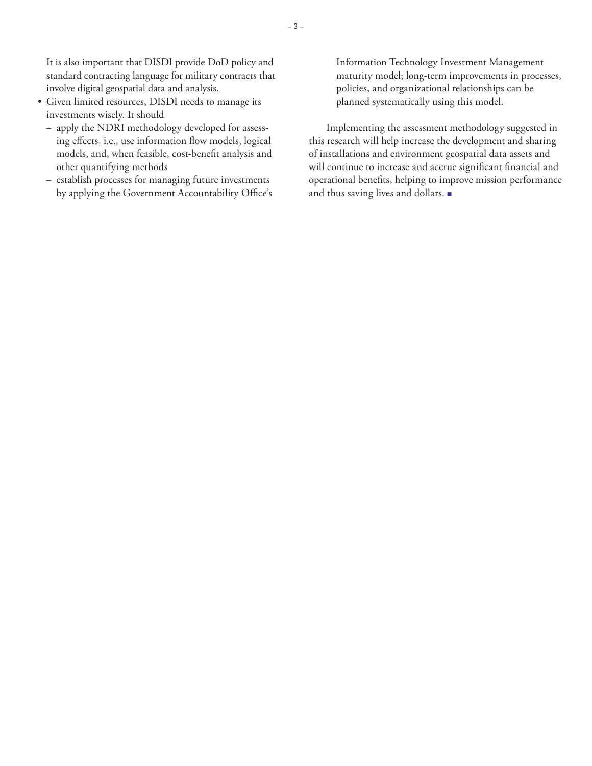– 3 –

It is also important that DISDI provide DoD policy and standard contracting language for military contracts that involve digital geospatial data and analysis.

- Given limited resources, DISDI needs to manage its investments wisely. It should
	- apply the NDRI methodology developed for assessing effects, i.e., use information flow models, logical models, and, when feasible, cost-benefit analysis and other quantifying methods
	- establish processes for managing future investments by applying the Government Accountability Office's

Information Technology Investment Management maturity model; long-term improvements in processes, policies, and organizational relationships can be planned systematically using this model.

Implementing the assessment methodology suggested in this research will help increase the development and sharing of installations and environment geospatial data assets and will continue to increase and accrue significant financial and operational benefits, helping to improve mission performance and thus saving lives and dollars. ■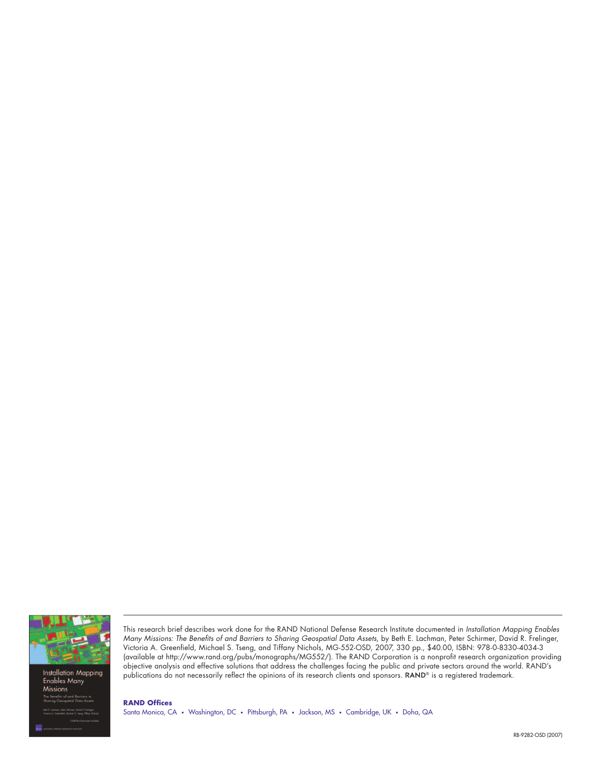

**Installation Mapping Enables Many Missions** 

This research brief describes work done for the RAND National Defense Research Institute documented in Installation Mapping Enables Many Missions: The Benefits of and Barriers to Sharing Geospatial Data Assets, by Beth E. Lachman, Peter Schirmer, David R. Frelinger, Victoria A. Greenfield, Michael S. Tseng, and Tiffany Nichols, MG-552-OSD, 2007, 330 pp., \$40.00, ISBN: 978-0-8330-4034-3 (available at [http://www.rand.org/pubs/monographs/MG552/\)](http://www.rand.org/pubs/monographs/MG552/). The RAND Corporation is a nonprofit research organization providing objective analysis and effective solutions that address the challenges facing the public and private sectors around the world. RAND's publications do not necessarily reflect the opinions of its research clients and sponsors. RAND® is a registered trademark.

**RAND Offices** Santa Monica, CA • Washington, DC • Pittsburgh, PA • Jackson, MS • Cambridge, UK • Doha, QA